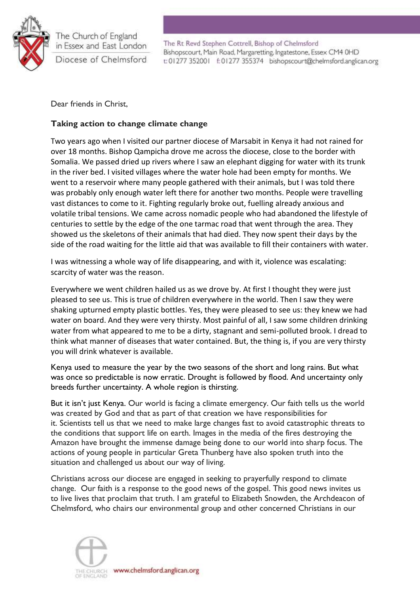

The Rt Revd Stephen Cottrell, Bishop of Chelmsford Bishopscourt, Main Road, Margaretting, Ingatestone, Essex CM4 0HD t: 01277 352001 f: 01277 355374 bishopscourt@chelmsford.anglican.org

Dear friends in Christ,

# **Taking action to change climate change**

Two years ago when I visited our partner diocese of Marsabit in Kenya it had not rained for over 18 months. Bishop Qampicha drove me across the diocese, close to the border with Somalia. We passed dried up rivers where I saw an elephant digging for water with its trunk in the river bed. I visited villages where the water hole had been empty for months. We went to a reservoir where many people gathered with their animals, but I was told there was probably only enough water left there for another two months. People were travelling vast distances to come to it. Fighting regularly broke out, fuelling already anxious and volatile tribal tensions. We came across nomadic people who had abandoned the lifestyle of centuries to settle by the edge of the one tarmac road that went through the area. They showed us the skeletons of their animals that had died. They now spent their days by the side of the road waiting for the little aid that was available to fill their containers with water.

I was witnessing a whole way of life disappearing, and with it, violence was escalating: scarcity of water was the reason.

Everywhere we went children hailed us as we drove by. At first I thought they were just pleased to see us. This is true of children everywhere in the world. Then I saw they were shaking upturned empty plastic bottles. Yes, they were pleased to see us: they knew we had water on board. And they were very thirsty. Most painful of all, I saw some children drinking water from what appeared to me to be a dirty, stagnant and semi-polluted brook. I dread to think what manner of diseases that water contained. But, the thing is, if you are very thirsty you will drink whatever is available.

Kenya used to measure the year by the two seasons of the short and long rains. But what was once so predictable is now erratic. Drought is followed by flood. And uncertainty only breeds further uncertainty. A whole region is thirsting.

But it isn't just Kenya. Our world is facing a climate emergency. Our faith tells us the world was created by God and that as part of that creation we have responsibilities for it. Scientists tell us that we need to make large changes fast to avoid catastrophic threats to the conditions that support life on earth. Images in the media of the fires destroying the Amazon have brought the immense damage being done to our world into sharp focus. The actions of young people in particular Greta Thunberg have also spoken truth into the situation and challenged us about our way of living.

Christians across our diocese are engaged in seeking to prayerfully respond to climate change. Our faith is a response to the good news of the gospel. This good news invites us to live lives that proclaim that truth. I am grateful to Elizabeth Snowden, the Archdeacon of Chelmsford, who chairs our environmental group and other concerned Christians in our

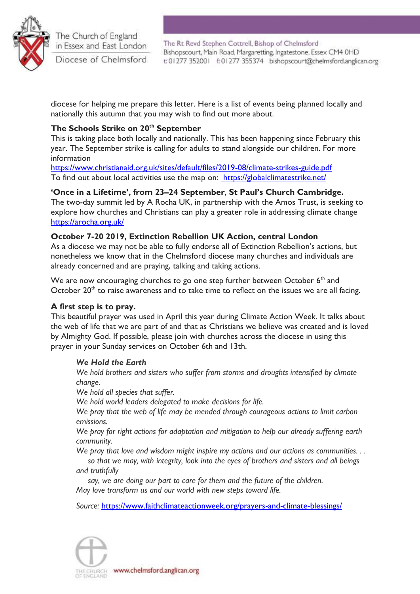

The Rt Revd Stephen Cottrell, Bishop of Chelmsford Bishopscourt, Main Road, Margaretting, Ingatestone, Essex CM4 0HD t: 01277 352001 f: 01277 355374 bishopscourt@chelmsford.anglican.org

diocese for helping me prepare this letter. Here is a list of events being planned locally and nationally this autumn that you may wish to find out more about.

# **The Schools Strike on 20th September**

This is taking place both locally and nationally. This has been happening since February this year. The September strike is calling for adults to stand alongside our children. For more information

<https://www.christianaid.org.uk/sites/default/files/2019-08/climate-strikes-guide.pdf> To find out about local activities use the map on: <https://globalclimatestrike.net/>

# **'Once in a Lifetime', from 23–24 September**, **St Paul's Church Cambridge.**

The two-day summit led by A Rocha UK, in partnership with the Amos Trust, is seeking to explore how churches and Christians can play a greater role in addressing climate change <https://arocha.org.uk/>

### **October 7-20 2019, Extinction Rebellion UK Action, central London**

As a diocese we may not be able to fully endorse all of Extinction Rebellion's actions, but nonetheless we know that in the Chelmsford diocese many churches and individuals are already concerned and are praying, talking and taking actions.

We are now encouraging churches to go one step further between October  $6<sup>th</sup>$  and October  $20<sup>th</sup>$  to raise awareness and to take time to reflect on the issues we are all facing.

# **A first step is to pray.**

This beautiful prayer was used in April this year during Climate Action Week. It talks about the web of life that we are part of and that as Christians we believe was created and is loved by Almighty God. If possible, please join with churches across the diocese in using this prayer in your Sunday services on October 6th and 13th.

### *We Hold the Earth*

*We hold brothers and sisters who suffer from storms and droughts intensified by climate change.*

*We hold all species that suffer.*

*We hold world leaders delegated to make decisions for life.*

*We pray that the web of life may be mended through courageous actions to limit carbon emissions.*

*We pray for right actions for adaptation and mitigation to help our already suffering earth community.*

*We pray that love and wisdom might inspire my actions and our actions as communities. . .*

 *so that we may, with integrity, look into the eyes of brothers and sisters and all beings and truthfully*

 *say, we are doing our part to care for them and the future of the children. May love transform us and our world with new steps toward life.*

*Source:* <https://www.faithclimateactionweek.org/prayers-and-climate-blessings/>



www.chelmsford.anglican.org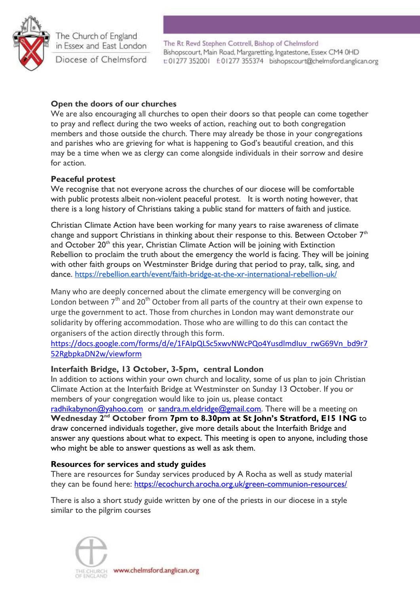

The Rt Revd Stephen Cottrell, Bishop of Chelmsford Bishopscourt, Main Road, Margaretting, Ingatestone, Essex CM4 0HD t: 01277 352001 f: 01277 355374 bishopscourt@chelmsford.anglican.org

## **Open the doors of our churches**

We are also encouraging all churches to open their doors so that people can come together to pray and reflect during the two weeks of action, reaching out to both congregation members and those outside the church. There may already be those in your congregations and parishes who are grieving for what is happening to God's beautiful creation, and this may be a time when we as clergy can come alongside individuals in their sorrow and desire for action.

### **Peaceful protest**

We recognise that not everyone across the churches of our diocese will be comfortable with public protests albeit non-violent peaceful protest. It is worth noting however, that there is a long history of Christians taking a public stand for matters of faith and justice.

Christian Climate Action have been working for many years to raise awareness of climate change and support Christians in thinking about their response to this. Between October  $7<sup>th</sup>$ and October  $20<sup>th</sup>$  this year, Christian Climate Action will be joining with Extinction Rebellion to proclaim the truth about the emergency the world is facing. They will be joining with other faith groups on Westminster Bridge during that period to pray, talk, sing, and dance. <https://rebellion.earth/event/faith-bridge-at-the-xr-international-rebellion-uk/>

Many who are deeply concerned about the climate emergency will be converging on London between  $7<sup>th</sup>$  and 20<sup>th</sup> October from all parts of the country at their own expense to urge the government to act. Those from churches in London may want demonstrate our solidarity by offering accommodation. Those who are willing to do this can contact the organisers of the action directly through this form.

[https://docs.google.com/forms/d/e/1FAIpQLSc5xwvNWcPQo4YusdlmdIuv\\_rwG69Vn\\_bd9r7](https://docs.google.com/forms/d/e/1FAIpQLSc5xwvNWcPQo4YusdlmdIuv_rwG69Vn_bd9r752RgbpkaDN2w/viewform) [52RgbpkaDN2w/viewform](https://docs.google.com/forms/d/e/1FAIpQLSc5xwvNWcPQo4YusdlmdIuv_rwG69Vn_bd9r752RgbpkaDN2w/viewform)

### **Interfaith Bridge, 13 October, 3-5pm, central London**

In addition to actions within your own church and locality, some of us plan to join Christian Climate Action at the Interfaith Bridge at Westminster on Sunday 13 October. If you or members of your congregation would like to join us, please contact [radhikabynon@yahoo.com](mailto:radhikabynon@yahoo.com) or [sandra.m.eldridge@gmail.com.](mailto:sandra.m.eldridge@gmail.com) There will be a meeting on **Wednesday 2nd October from 7pm to 8.30pm at St John's Stratford, E15 1NG** to draw concerned individuals together, give more details about the Interfaith Bridge and answer any questions about what to expect. This meeting is open to anyone, including those who might be able to answer questions as well as ask them.

#### **Resources for services and study guides**

There are resources for Sunday services produced by A Rocha as well as study material they can be found here:<https://ecochurch.arocha.org.uk/green-communion-resources/>

There is also a short study guide written by one of the priests in our diocese in a style similar to the pilgrim courses